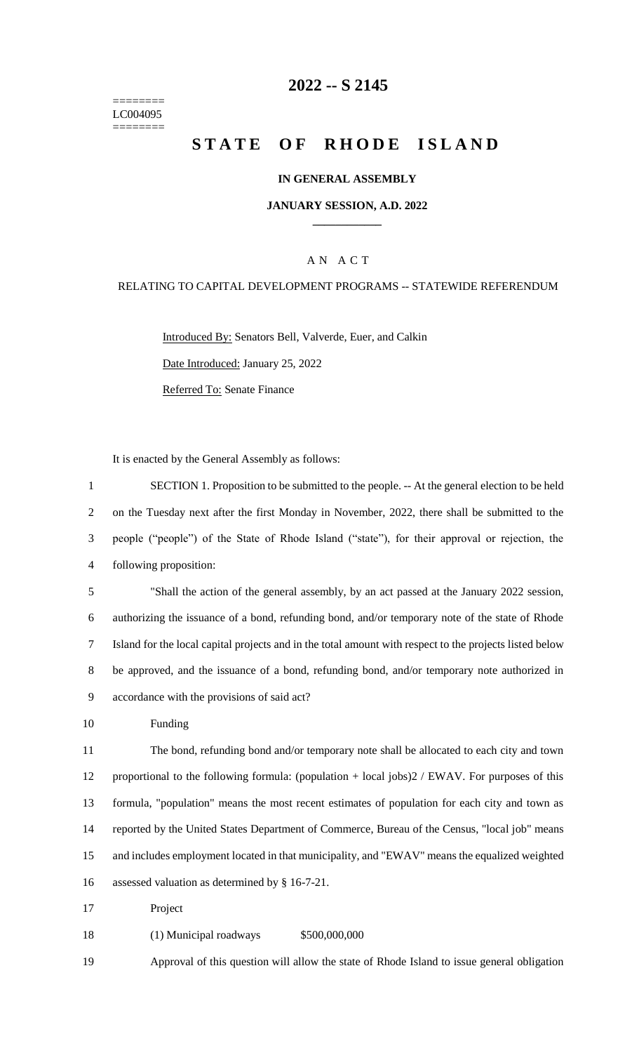======== LC004095 ========

### **-- S 2145**

# **STATE OF RHODE ISLAND**

#### **IN GENERAL ASSEMBLY**

#### **JANUARY SESSION, A.D. 2022 \_\_\_\_\_\_\_\_\_\_\_\_**

#### A N A C T

#### RELATING TO CAPITAL DEVELOPMENT PROGRAMS -- STATEWIDE REFERENDUM

Introduced By: Senators Bell, Valverde, Euer, and Calkin Date Introduced: January 25, 2022 Referred To: Senate Finance

It is enacted by the General Assembly as follows:

 SECTION 1. Proposition to be submitted to the people. -- At the general election to be held on the Tuesday next after the first Monday in November, 2022, there shall be submitted to the people ("people") of the State of Rhode Island ("state"), for their approval or rejection, the following proposition: "Shall the action of the general assembly, by an act passed at the January 2022 session, authorizing the issuance of a bond, refunding bond, and/or temporary note of the state of Rhode Island for the local capital projects and in the total amount with respect to the projects listed below be approved, and the issuance of a bond, refunding bond, and/or temporary note authorized in accordance with the provisions of said act? Funding The bond, refunding bond and/or temporary note shall be allocated to each city and town proportional to the following formula: (population + local jobs)2 / EWAV. For purposes of this formula, "population" means the most recent estimates of population for each city and town as reported by the United States Department of Commerce, Bureau of the Census, "local job" means and includes employment located in that municipality, and "EWAV" means the equalized weighted assessed valuation as determined by § 16-7-21. Project (1) Municipal roadways \$500,000,000

Approval of this question will allow the state of Rhode Island to issue general obligation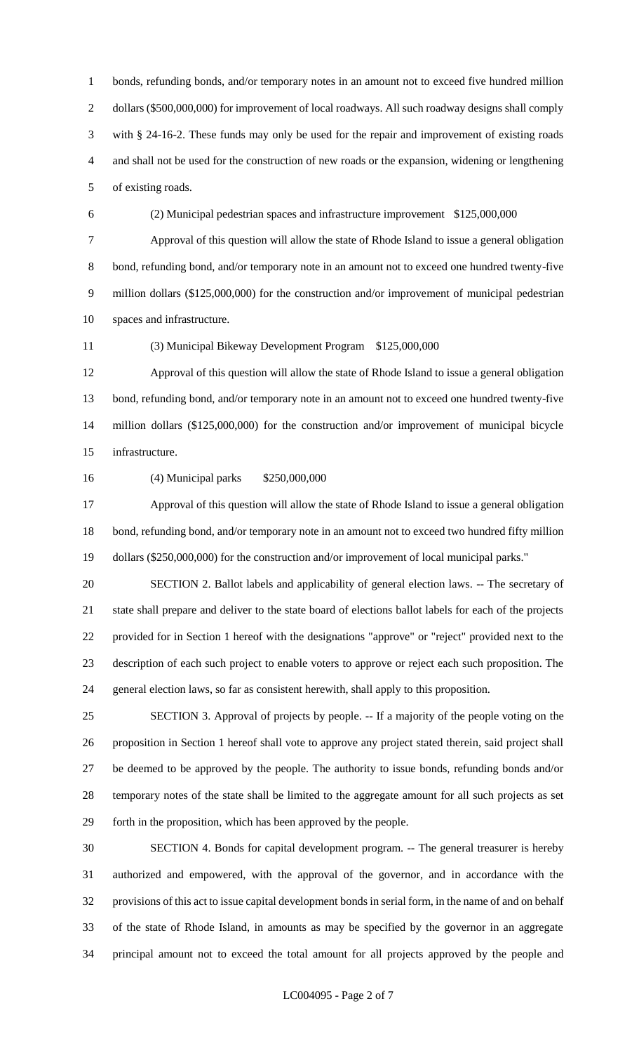bonds, refunding bonds, and/or temporary notes in an amount not to exceed five hundred million dollars (\$500,000,000) for improvement of local roadways. All such roadway designs shall comply with § 24-16-2. These funds may only be used for the repair and improvement of existing roads and shall not be used for the construction of new roads or the expansion, widening or lengthening

of existing roads.

## (2) Municipal pedestrian spaces and infrastructure improvement \$125,000,000

 Approval of this question will allow the state of Rhode Island to issue a general obligation 8 bond, refunding bond, and/or temporary note in an amount not to exceed one hundred twenty-five million dollars (\$125,000,000) for the construction and/or improvement of municipal pedestrian spaces and infrastructure.

### (3) Municipal Bikeway Development Program \$125,000,000

 Approval of this question will allow the state of Rhode Island to issue a general obligation bond, refunding bond, and/or temporary note in an amount not to exceed one hundred twenty-five million dollars (\$125,000,000) for the construction and/or improvement of municipal bicycle infrastructure.

## (4) Municipal parks \$250,000,000

 Approval of this question will allow the state of Rhode Island to issue a general obligation bond, refunding bond, and/or temporary note in an amount not to exceed two hundred fifty million dollars (\$250,000,000) for the construction and/or improvement of local municipal parks."

 SECTION 2. Ballot labels and applicability of general election laws. -- The secretary of state shall prepare and deliver to the state board of elections ballot labels for each of the projects provided for in Section 1 hereof with the designations "approve" or "reject" provided next to the description of each such project to enable voters to approve or reject each such proposition. The general election laws, so far as consistent herewith, shall apply to this proposition.

 SECTION 3. Approval of projects by people. -- If a majority of the people voting on the proposition in Section 1 hereof shall vote to approve any project stated therein, said project shall be deemed to be approved by the people. The authority to issue bonds, refunding bonds and/or temporary notes of the state shall be limited to the aggregate amount for all such projects as set forth in the proposition, which has been approved by the people.

 SECTION 4. Bonds for capital development program. -- The general treasurer is hereby authorized and empowered, with the approval of the governor, and in accordance with the provisions of this act to issue capital development bonds in serial form, in the name of and on behalf of the state of Rhode Island, in amounts as may be specified by the governor in an aggregate principal amount not to exceed the total amount for all projects approved by the people and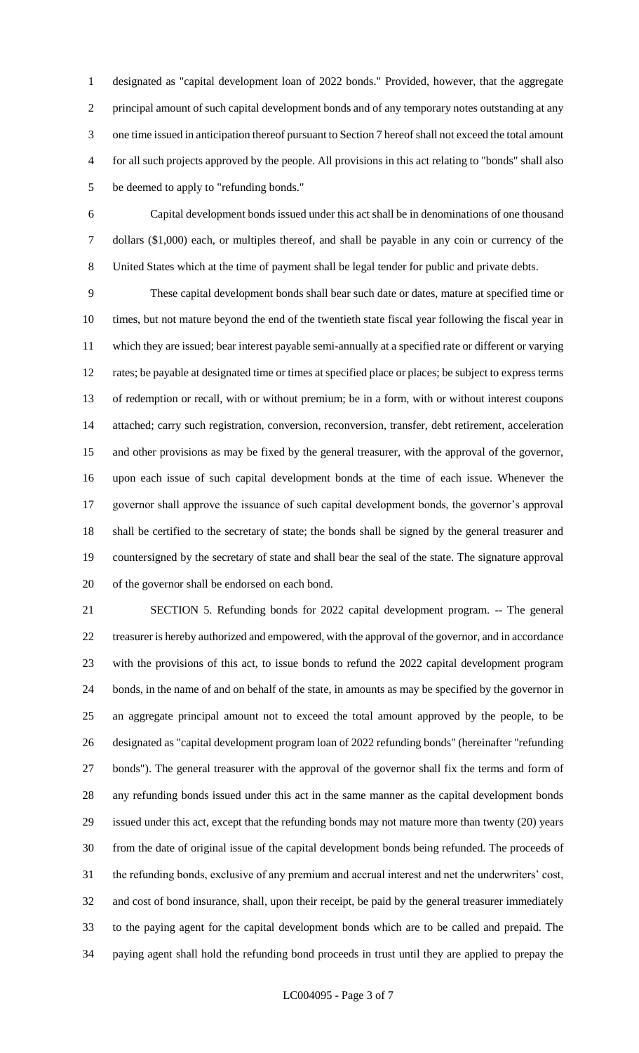designated as "capital development loan of 2022 bonds." Provided, however, that the aggregate principal amount of such capital development bonds and of any temporary notes outstanding at any one time issued in anticipation thereof pursuant to Section 7 hereof shall not exceed the total amount for all such projects approved by the people. All provisions in this act relating to "bonds" shall also be deemed to apply to "refunding bonds."

 Capital development bonds issued under this act shall be in denominations of one thousand dollars (\$1,000) each, or multiples thereof, and shall be payable in any coin or currency of the United States which at the time of payment shall be legal tender for public and private debts.

 These capital development bonds shall bear such date or dates, mature at specified time or times, but not mature beyond the end of the twentieth state fiscal year following the fiscal year in which they are issued; bear interest payable semi-annually at a specified rate or different or varying rates; be payable at designated time or times at specified place or places; be subject to express terms of redemption or recall, with or without premium; be in a form, with or without interest coupons attached; carry such registration, conversion, reconversion, transfer, debt retirement, acceleration and other provisions as may be fixed by the general treasurer, with the approval of the governor, upon each issue of such capital development bonds at the time of each issue. Whenever the governor shall approve the issuance of such capital development bonds, the governor's approval shall be certified to the secretary of state; the bonds shall be signed by the general treasurer and countersigned by the secretary of state and shall bear the seal of the state. The signature approval of the governor shall be endorsed on each bond.

 SECTION 5. Refunding bonds for 2022 capital development program. -- The general treasurer is hereby authorized and empowered, with the approval of the governor, and in accordance with the provisions of this act, to issue bonds to refund the 2022 capital development program bonds, in the name of and on behalf of the state, in amounts as may be specified by the governor in an aggregate principal amount not to exceed the total amount approved by the people, to be designated as "capital development program loan of 2022 refunding bonds" (hereinafter "refunding bonds"). The general treasurer with the approval of the governor shall fix the terms and form of any refunding bonds issued under this act in the same manner as the capital development bonds issued under this act, except that the refunding bonds may not mature more than twenty (20) years from the date of original issue of the capital development bonds being refunded. The proceeds of the refunding bonds, exclusive of any premium and accrual interest and net the underwriters' cost, and cost of bond insurance, shall, upon their receipt, be paid by the general treasurer immediately to the paying agent for the capital development bonds which are to be called and prepaid. The paying agent shall hold the refunding bond proceeds in trust until they are applied to prepay the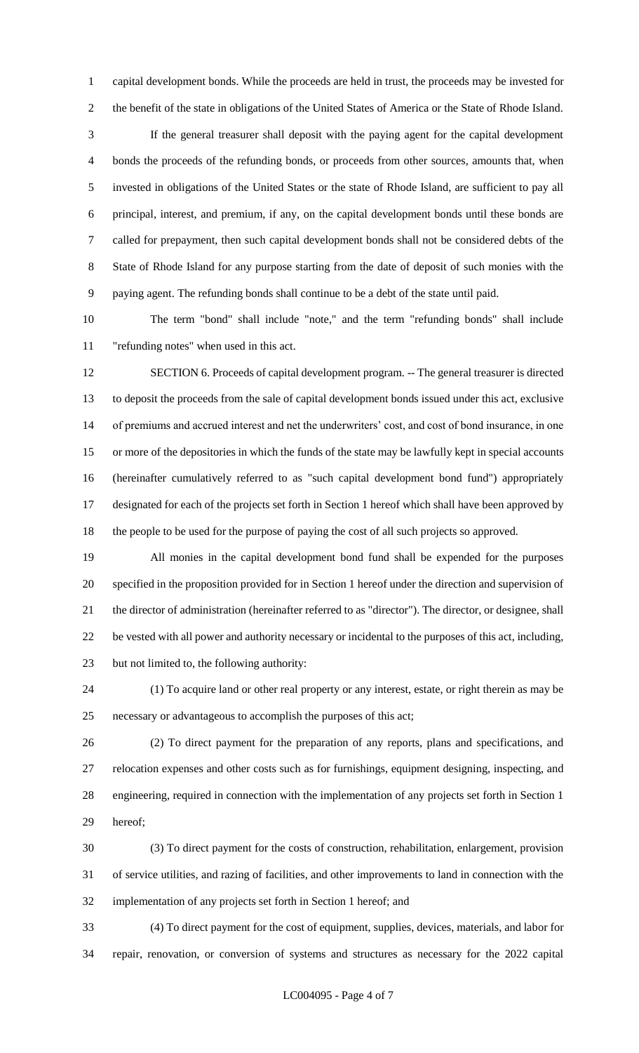capital development bonds. While the proceeds are held in trust, the proceeds may be invested for the benefit of the state in obligations of the United States of America or the State of Rhode Island.

 If the general treasurer shall deposit with the paying agent for the capital development bonds the proceeds of the refunding bonds, or proceeds from other sources, amounts that, when invested in obligations of the United States or the state of Rhode Island, are sufficient to pay all principal, interest, and premium, if any, on the capital development bonds until these bonds are called for prepayment, then such capital development bonds shall not be considered debts of the State of Rhode Island for any purpose starting from the date of deposit of such monies with the paying agent. The refunding bonds shall continue to be a debt of the state until paid.

 The term "bond" shall include "note," and the term "refunding bonds" shall include "refunding notes" when used in this act.

 SECTION 6. Proceeds of capital development program. -- The general treasurer is directed to deposit the proceeds from the sale of capital development bonds issued under this act, exclusive of premiums and accrued interest and net the underwriters' cost, and cost of bond insurance, in one or more of the depositories in which the funds of the state may be lawfully kept in special accounts (hereinafter cumulatively referred to as "such capital development bond fund") appropriately designated for each of the projects set forth in Section 1 hereof which shall have been approved by the people to be used for the purpose of paying the cost of all such projects so approved.

 All monies in the capital development bond fund shall be expended for the purposes specified in the proposition provided for in Section 1 hereof under the direction and supervision of the director of administration (hereinafter referred to as "director"). The director, or designee, shall be vested with all power and authority necessary or incidental to the purposes of this act, including, but not limited to, the following authority:

 (1) To acquire land or other real property or any interest, estate, or right therein as may be necessary or advantageous to accomplish the purposes of this act;

 (2) To direct payment for the preparation of any reports, plans and specifications, and relocation expenses and other costs such as for furnishings, equipment designing, inspecting, and engineering, required in connection with the implementation of any projects set forth in Section 1 hereof;

 (3) To direct payment for the costs of construction, rehabilitation, enlargement, provision of service utilities, and razing of facilities, and other improvements to land in connection with the implementation of any projects set forth in Section 1 hereof; and

 (4) To direct payment for the cost of equipment, supplies, devices, materials, and labor for repair, renovation, or conversion of systems and structures as necessary for the 2022 capital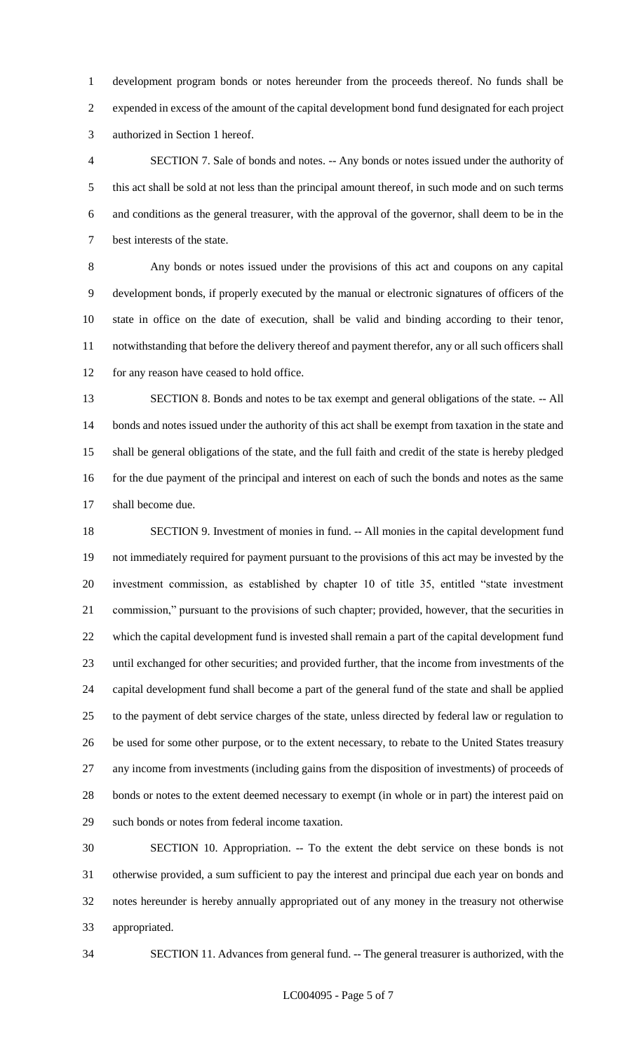development program bonds or notes hereunder from the proceeds thereof. No funds shall be expended in excess of the amount of the capital development bond fund designated for each project authorized in Section 1 hereof.

 SECTION 7. Sale of bonds and notes. -- Any bonds or notes issued under the authority of this act shall be sold at not less than the principal amount thereof, in such mode and on such terms and conditions as the general treasurer, with the approval of the governor, shall deem to be in the best interests of the state.

 Any bonds or notes issued under the provisions of this act and coupons on any capital development bonds, if properly executed by the manual or electronic signatures of officers of the state in office on the date of execution, shall be valid and binding according to their tenor, notwithstanding that before the delivery thereof and payment therefor, any or all such officers shall for any reason have ceased to hold office.

 SECTION 8. Bonds and notes to be tax exempt and general obligations of the state. -- All bonds and notes issued under the authority of this act shall be exempt from taxation in the state and shall be general obligations of the state, and the full faith and credit of the state is hereby pledged 16 for the due payment of the principal and interest on each of such the bonds and notes as the same shall become due.

 SECTION 9. Investment of monies in fund. -- All monies in the capital development fund not immediately required for payment pursuant to the provisions of this act may be invested by the investment commission, as established by chapter 10 of title 35, entitled "state investment commission," pursuant to the provisions of such chapter; provided, however, that the securities in which the capital development fund is invested shall remain a part of the capital development fund until exchanged for other securities; and provided further, that the income from investments of the capital development fund shall become a part of the general fund of the state and shall be applied to the payment of debt service charges of the state, unless directed by federal law or regulation to be used for some other purpose, or to the extent necessary, to rebate to the United States treasury any income from investments (including gains from the disposition of investments) of proceeds of bonds or notes to the extent deemed necessary to exempt (in whole or in part) the interest paid on such bonds or notes from federal income taxation.

 SECTION 10. Appropriation. -- To the extent the debt service on these bonds is not otherwise provided, a sum sufficient to pay the interest and principal due each year on bonds and notes hereunder is hereby annually appropriated out of any money in the treasury not otherwise appropriated.

SECTION 11. Advances from general fund. -- The general treasurer is authorized, with the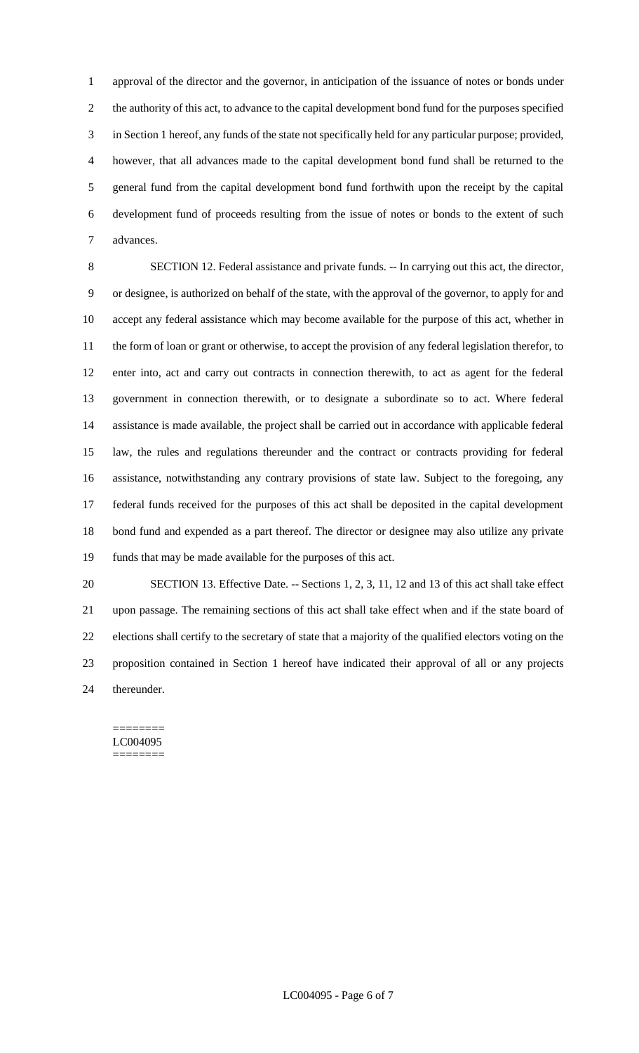approval of the director and the governor, in anticipation of the issuance of notes or bonds under the authority of this act, to advance to the capital development bond fund for the purposes specified in Section 1 hereof, any funds of the state not specifically held for any particular purpose; provided, however, that all advances made to the capital development bond fund shall be returned to the general fund from the capital development bond fund forthwith upon the receipt by the capital development fund of proceeds resulting from the issue of notes or bonds to the extent of such advances.

 SECTION 12. Federal assistance and private funds. -- In carrying out this act, the director, or designee, is authorized on behalf of the state, with the approval of the governor, to apply for and accept any federal assistance which may become available for the purpose of this act, whether in the form of loan or grant or otherwise, to accept the provision of any federal legislation therefor, to enter into, act and carry out contracts in connection therewith, to act as agent for the federal government in connection therewith, or to designate a subordinate so to act. Where federal assistance is made available, the project shall be carried out in accordance with applicable federal law, the rules and regulations thereunder and the contract or contracts providing for federal assistance, notwithstanding any contrary provisions of state law. Subject to the foregoing, any federal funds received for the purposes of this act shall be deposited in the capital development bond fund and expended as a part thereof. The director or designee may also utilize any private funds that may be made available for the purposes of this act.

 SECTION 13. Effective Date. -- Sections 1, 2, 3, 11, 12 and 13 of this act shall take effect upon passage. The remaining sections of this act shall take effect when and if the state board of elections shall certify to the secretary of state that a majority of the qualified electors voting on the proposition contained in Section 1 hereof have indicated their approval of all or any projects thereunder.

======== LC004095 ========